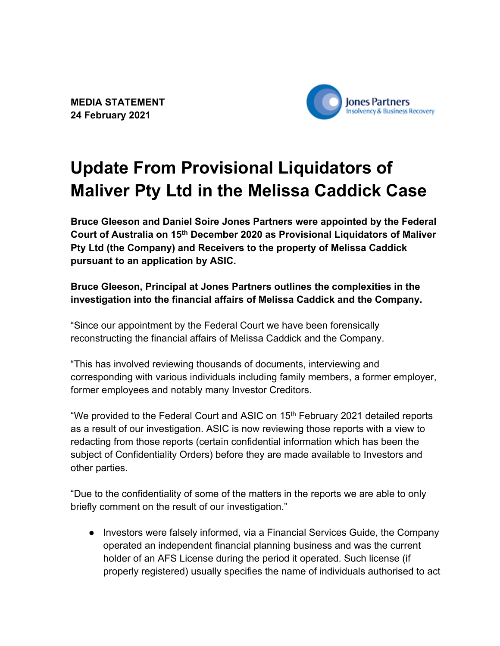**MEDIA STATEMENT 24 February 2021**



## **Update From Provisional Liquidators of Maliver Pty Ltd in the Melissa Caddick Case**

**Bruce Gleeson and Daniel Soire Jones Partners were appointed by the Federal Court of Australia on 15th December 2020 as Provisional Liquidators of Maliver Pty Ltd (the Company) and Receivers to the property of Melissa Caddick pursuant to an application by ASIC.** 

## **Bruce Gleeson, Principal at Jones Partners outlines the complexities in the investigation into the financial affairs of Melissa Caddick and the Company.**

"Since our appointment by the Federal Court we have been forensically reconstructing the financial affairs of Melissa Caddick and the Company.

"This has involved reviewing thousands of documents, interviewing and corresponding with various individuals including family members, a former employer, former employees and notably many Investor Creditors.

"We provided to the Federal Court and ASIC on 15<sup>th</sup> February 2021 detailed reports as a result of our investigation. ASIC is now reviewing those reports with a view to redacting from those reports (certain confidential information which has been the subject of Confidentiality Orders) before they are made available to Investors and other parties.

"Due to the confidentiality of some of the matters in the reports we are able to only briefly comment on the result of our investigation."

● Investors were falsely informed, via a Financial Services Guide, the Company operated an independent financial planning business and was the current holder of an AFS License during the period it operated. Such license (if properly registered) usually specifies the name of individuals authorised to act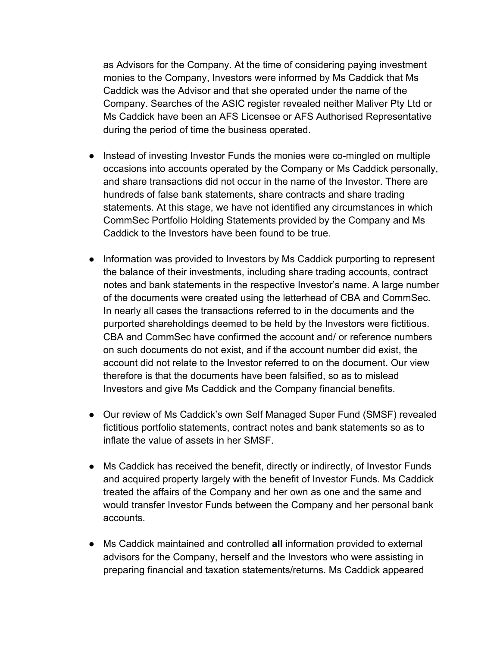as Advisors for the Company. At the time of considering paying investment monies to the Company, Investors were informed by Ms Caddick that Ms Caddick was the Advisor and that she operated under the name of the Company. Searches of the ASIC register revealed neither Maliver Pty Ltd or Ms Caddick have been an AFS Licensee or AFS Authorised Representative during the period of time the business operated.

- Instead of investing Investor Funds the monies were co-mingled on multiple occasions into accounts operated by the Company or Ms Caddick personally, and share transactions did not occur in the name of the Investor. There are hundreds of false bank statements, share contracts and share trading statements. At this stage, we have not identified any circumstances in which CommSec Portfolio Holding Statements provided by the Company and Ms Caddick to the Investors have been found to be true.
- Information was provided to Investors by Ms Caddick purporting to represent the balance of their investments, including share trading accounts, contract notes and bank statements in the respective Investor's name. A large number of the documents were created using the letterhead of CBA and CommSec. In nearly all cases the transactions referred to in the documents and the purported shareholdings deemed to be held by the Investors were fictitious. CBA and CommSec have confirmed the account and/ or reference numbers on such documents do not exist, and if the account number did exist, the account did not relate to the Investor referred to on the document. Our view therefore is that the documents have been falsified, so as to mislead Investors and give Ms Caddick and the Company financial benefits.
- Our review of Ms Caddick's own Self Managed Super Fund (SMSF) revealed fictitious portfolio statements, contract notes and bank statements so as to inflate the value of assets in her SMSF.
- Ms Caddick has received the benefit, directly or indirectly, of Investor Funds and acquired property largely with the benefit of Investor Funds. Ms Caddick treated the affairs of the Company and her own as one and the same and would transfer Investor Funds between the Company and her personal bank accounts.
- Ms Caddick maintained and controlled **all** information provided to external advisors for the Company, herself and the Investors who were assisting in preparing financial and taxation statements/returns. Ms Caddick appeared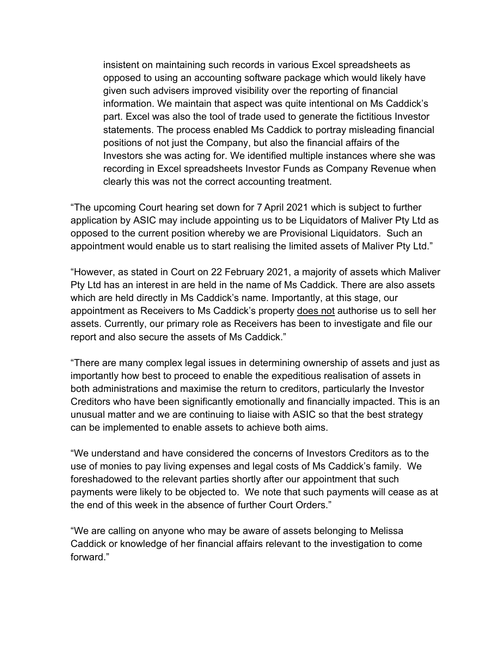insistent on maintaining such records in various Excel spreadsheets as opposed to using an accounting software package which would likely have given such advisers improved visibility over the reporting of financial information. We maintain that aspect was quite intentional on Ms Caddick's part. Excel was also the tool of trade used to generate the fictitious Investor statements. The process enabled Ms Caddick to portray misleading financial positions of not just the Company, but also the financial affairs of the Investors she was acting for. We identified multiple instances where she was recording in Excel spreadsheets Investor Funds as Company Revenue when clearly this was not the correct accounting treatment.

"The upcoming Court hearing set down for 7 April 2021 which is subject to further application by ASIC may include appointing us to be Liquidators of Maliver Pty Ltd as opposed to the current position whereby we are Provisional Liquidators. Such an appointment would enable us to start realising the limited assets of Maliver Pty Ltd."

"However, as stated in Court on 22 February 2021, a majority of assets which Maliver Pty Ltd has an interest in are held in the name of Ms Caddick. There are also assets which are held directly in Ms Caddick's name. Importantly, at this stage, our appointment as Receivers to Ms Caddick's property does not authorise us to sell her assets. Currently, our primary role as Receivers has been to investigate and file our report and also secure the assets of Ms Caddick."

"There are many complex legal issues in determining ownership of assets and just as importantly how best to proceed to enable the expeditious realisation of assets in both administrations and maximise the return to creditors, particularly the Investor Creditors who have been significantly emotionally and financially impacted. This is an unusual matter and we are continuing to liaise with ASIC so that the best strategy can be implemented to enable assets to achieve both aims.

"We understand and have considered the concerns of Investors Creditors as to the use of monies to pay living expenses and legal costs of Ms Caddick's family. We foreshadowed to the relevant parties shortly after our appointment that such payments were likely to be objected to. We note that such payments will cease as at the end of this week in the absence of further Court Orders."

"We are calling on anyone who may be aware of assets belonging to Melissa Caddick or knowledge of her financial affairs relevant to the investigation to come forward."